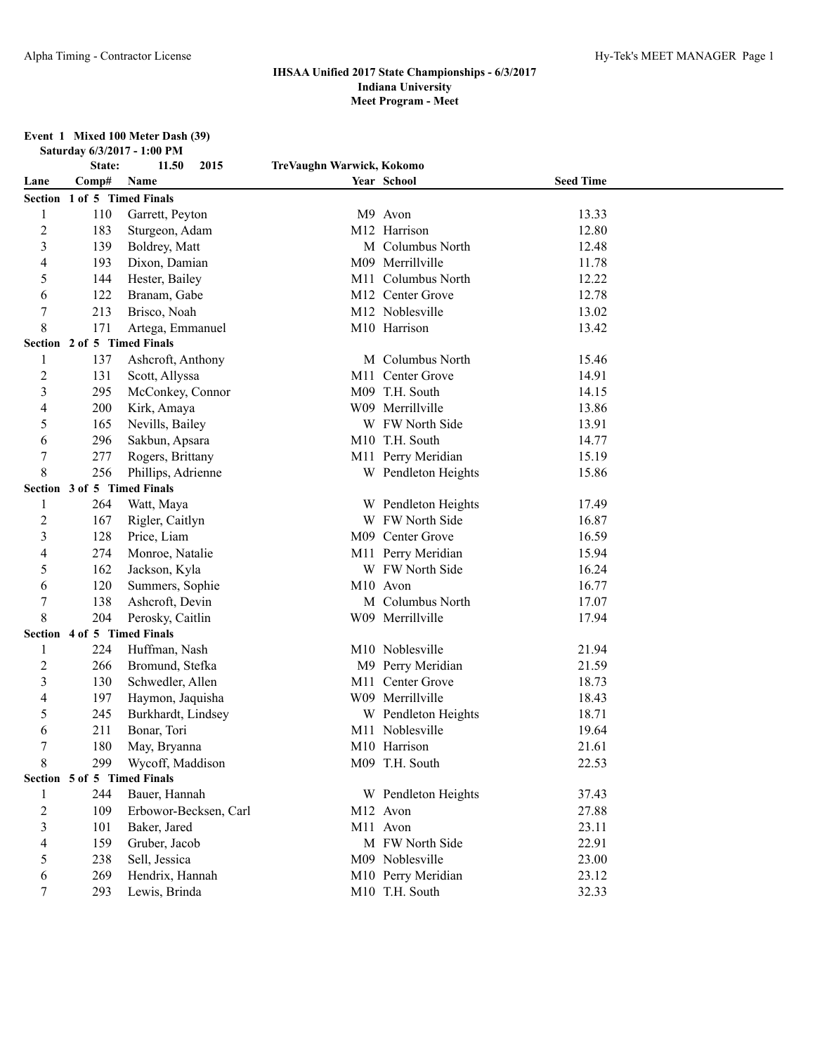# **Event 1 Mixed 100 Meter Dash (39) Saturday 6/3/2017 - 1:00 PM**

|                         | State:                      | 11.50<br>2015         | TreVaughn Warwick, Kokomo |                     |                  |  |
|-------------------------|-----------------------------|-----------------------|---------------------------|---------------------|------------------|--|
| Lane                    | Comp#                       | Name                  |                           | Year School         | <b>Seed Time</b> |  |
|                         | Section 1 of 5 Timed Finals |                       |                           |                     |                  |  |
| 1                       | 110                         | Garrett, Peyton       |                           | M9 Avon             | 13.33            |  |
| $\overline{\mathbf{c}}$ | 183                         | Sturgeon, Adam        |                           | M12 Harrison        | 12.80            |  |
| 3                       | 139                         | Boldrey, Matt         |                           | M Columbus North    | 12.48            |  |
| 4                       | 193                         | Dixon, Damian         |                           | M09 Merrillville    | 11.78            |  |
| 5                       | 144                         | Hester, Bailey        |                           | M11 Columbus North  | 12.22            |  |
| 6                       | 122                         | Branam, Gabe          |                           | M12 Center Grove    | 12.78            |  |
| 7                       | 213                         | Brisco, Noah          |                           | M12 Noblesville     | 13.02            |  |
| 8                       | 171                         | Artega, Emmanuel      |                           | M10 Harrison        | 13.42            |  |
|                         | Section 2 of 5 Timed Finals |                       |                           |                     |                  |  |
| 1                       | 137                         | Ashcroft, Anthony     |                           | M Columbus North    | 15.46            |  |
| 2                       | 131                         | Scott, Allyssa        |                           | M11 Center Grove    | 14.91            |  |
| 3                       | 295                         | McConkey, Connor      |                           | M09 T.H. South      | 14.15            |  |
| 4                       | 200                         | Kirk, Amaya           |                           | W09 Merrillville    | 13.86            |  |
| 5                       | 165                         | Nevills, Bailey       |                           | W FW North Side     | 13.91            |  |
| 6                       | 296                         | Sakbun, Apsara        |                           | M10 T.H. South      | 14.77            |  |
| 7                       | 277                         | Rogers, Brittany      |                           | M11 Perry Meridian  | 15.19            |  |
| 8                       | 256                         | Phillips, Adrienne    |                           | W Pendleton Heights | 15.86            |  |
| Section                 | 3 of 5 Timed Finals         |                       |                           |                     |                  |  |
|                         | 264                         | Watt, Maya            |                           | W Pendleton Heights | 17.49            |  |
| 2                       | 167                         | Rigler, Caitlyn       |                           | W FW North Side     | 16.87            |  |
| 3                       | 128                         | Price, Liam           |                           | M09 Center Grove    | 16.59            |  |
| 4                       | 274                         | Monroe, Natalie       |                           | M11 Perry Meridian  | 15.94            |  |
| 5                       | 162                         | Jackson, Kyla         |                           | W FW North Side     | 16.24            |  |
| 6                       | 120                         | Summers, Sophie       |                           | M10 Avon            | 16.77            |  |
| 7                       | 138                         | Ashcroft, Devin       |                           | M Columbus North    | 17.07            |  |
| 8                       | 204                         | Perosky, Caitlin      |                           | W09 Merrillville    | 17.94            |  |
|                         | Section 4 of 5 Timed Finals |                       |                           |                     |                  |  |
| 1                       | 224                         | Huffman, Nash         |                           | M10 Noblesville     | 21.94            |  |
| $\overline{c}$          | 266                         | Bromund, Stefka       |                           | M9 Perry Meridian   | 21.59            |  |
| 3                       | 130                         | Schwedler, Allen      | M11                       | Center Grove        | 18.73            |  |
| 4                       | 197                         | Haymon, Jaquisha      |                           | W09 Merrillville    | 18.43            |  |
| 5                       | 245                         | Burkhardt, Lindsey    |                           | W Pendleton Heights | 18.71            |  |
| 6                       | 211                         | Bonar, Tori           |                           | M11 Noblesville     | 19.64            |  |
| 7                       | 180                         | May, Bryanna          |                           | M10 Harrison        | 21.61            |  |
| 8                       | 299                         | Wycoff, Maddison      |                           | M09 T.H. South      | 22.53            |  |
|                         | Section 5 of 5 Timed Finals |                       |                           |                     |                  |  |
| 1                       | 244                         | Bauer, Hannah         |                           | W Pendleton Heights | 37.43            |  |
| $\overline{c}$          | 109                         | Erbowor-Becksen, Carl |                           | M12 Avon            | 27.88            |  |
| 3                       | 101                         | Baker, Jared          |                           | M11 Avon            | 23.11            |  |
| 4                       | 159                         | Gruber, Jacob         |                           | M FW North Side     | 22.91            |  |
| 5                       | 238                         | Sell, Jessica         |                           | M09 Noblesville     | 23.00            |  |
| 6                       | 269                         | Hendrix, Hannah       |                           | M10 Perry Meridian  | 23.12            |  |
| 7                       | 293                         | Lewis, Brinda         |                           | M10 T.H. South      | 32.33            |  |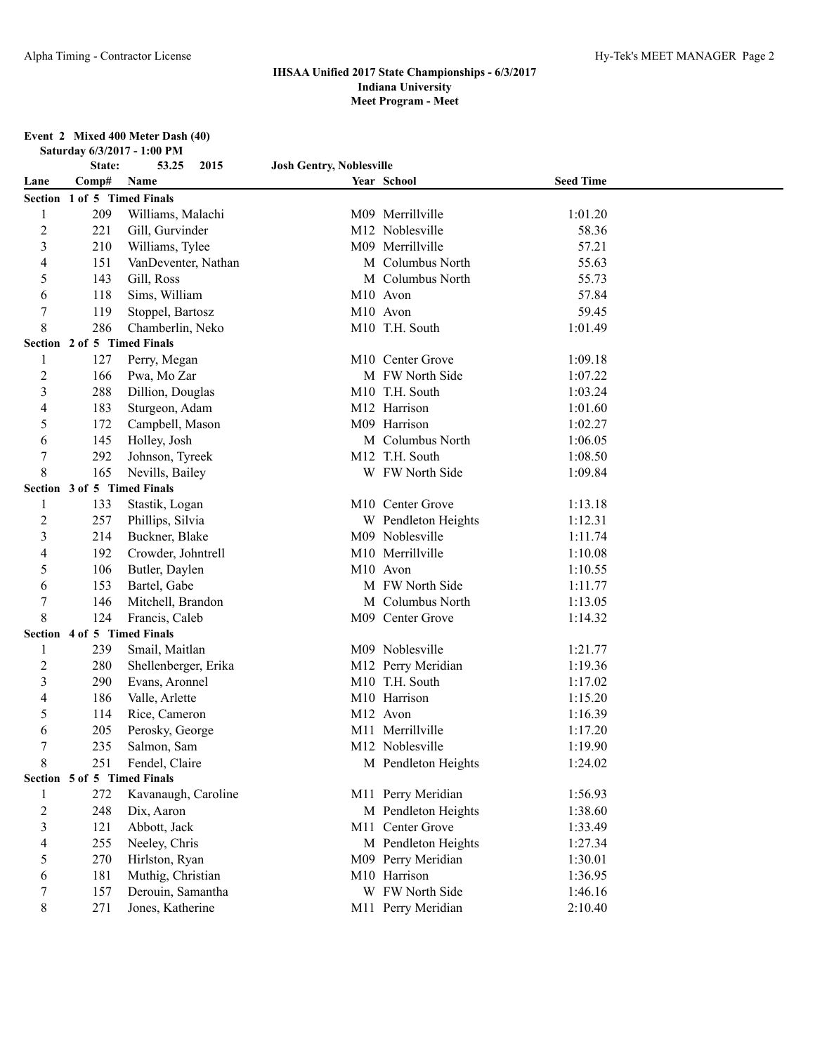#### **Event 2 Mixed 400 Meter Dash (40) Saturday 6/3/2017 - 1:00 PM**

|                | State:                      | 53.25<br>2015                       | <b>Josh Gentry, Noblesville</b> |                                     |                    |  |
|----------------|-----------------------------|-------------------------------------|---------------------------------|-------------------------------------|--------------------|--|
| Lane           | Comp#                       | Name                                |                                 | Year School                         | <b>Seed Time</b>   |  |
|                | Section 1 of 5 Timed Finals |                                     |                                 |                                     |                    |  |
| 1              | 209                         | Williams, Malachi                   |                                 | M09 Merrillville                    | 1:01.20            |  |
| $\overline{c}$ | 221                         | Gill, Gurvinder                     |                                 | M12 Noblesville                     | 58.36              |  |
| 3              | 210                         | Williams, Tylee                     |                                 | M09 Merrillville                    | 57.21              |  |
| 4              | 151                         | VanDeventer, Nathan                 |                                 | M Columbus North                    | 55.63              |  |
| 5              | 143                         | Gill, Ross                          |                                 | M Columbus North                    | 55.73              |  |
| 6              | 118                         | Sims, William                       |                                 | M10 Avon                            | 57.84              |  |
| 7              | 119                         | Stoppel, Bartosz                    |                                 | M10 Avon                            | 59.45              |  |
| 8              | 286                         | Chamberlin, Neko                    |                                 | M10 T.H. South                      | 1:01.49            |  |
|                | Section 2 of 5 Timed Finals |                                     |                                 |                                     |                    |  |
| 1              | 127                         | Perry, Megan                        |                                 | M10 Center Grove                    | 1:09.18            |  |
| $\overline{c}$ | 166                         | Pwa, Mo Zar                         |                                 | M FW North Side                     | 1:07.22            |  |
| 3              | 288                         | Dillion, Douglas                    |                                 | M10 T.H. South                      | 1:03.24            |  |
| 4              | 183                         | Sturgeon, Adam                      |                                 | M12 Harrison                        | 1:01.60            |  |
| 5              | 172                         | Campbell, Mason                     |                                 | M09 Harrison                        | 1:02.27            |  |
| 6              | 145                         | Holley, Josh                        |                                 | M Columbus North                    | 1:06.05            |  |
| 7              | 292                         | Johnson, Tyreek                     |                                 | M12 T.H. South                      | 1:08.50            |  |
| 8              | 165                         | Nevills, Bailey                     |                                 | W FW North Side                     | 1:09.84            |  |
|                | Section 3 of 5 Timed Finals |                                     |                                 |                                     |                    |  |
| 1              | 133                         | Stastik, Logan                      |                                 | M10 Center Grove                    | 1:13.18            |  |
| $\overline{c}$ | 257                         | Phillips, Silvia                    |                                 | W Pendleton Heights                 | 1:12.31            |  |
| 3              | 214                         | Buckner, Blake                      |                                 | M09 Noblesville                     | 1:11.74            |  |
| 4              | 192                         | Crowder, Johntrell                  |                                 | M10 Merrillville                    | 1:10.08            |  |
| 5              | 106                         | Butler, Daylen                      |                                 | M10 Avon                            | 1:10.55            |  |
| 6<br>7         | 153                         | Bartel, Gabe                        |                                 | M FW North Side<br>M Columbus North | 1:11.77            |  |
| 8              | 146<br>124                  | Mitchell, Brandon<br>Francis, Caleb |                                 | M09 Center Grove                    | 1:13.05<br>1:14.32 |  |
|                | Section 4 of 5 Timed Finals |                                     |                                 |                                     |                    |  |
| 1              | 239                         | Smail, Maitlan                      |                                 | M09 Noblesville                     | 1:21.77            |  |
| $\overline{c}$ | 280                         | Shellenberger, Erika                |                                 | M12 Perry Meridian                  | 1:19.36            |  |
| 3              | 290                         | Evans, Aronnel                      |                                 | M10 T.H. South                      | 1:17.02            |  |
| 4              | 186                         | Valle, Arlette                      |                                 | M10 Harrison                        | 1:15.20            |  |
| 5              | 114                         | Rice, Cameron                       |                                 | M12 Avon                            | 1:16.39            |  |
| 6              | 205                         | Perosky, George                     |                                 | M11 Merrillville                    | 1:17.20            |  |
|                | 235                         | Salmon, Sam                         |                                 | M <sub>12</sub> Noblesville         | 1:19.90            |  |
| 8              | 251                         | Fendel, Claire                      |                                 | M Pendleton Heights                 | 1:24.02            |  |
|                | Section 5 of 5 Timed Finals |                                     |                                 |                                     |                    |  |
| 1              | 272                         | Kavanaugh, Caroline                 |                                 | M11 Perry Meridian                  | 1:56.93            |  |
| $\overline{c}$ | 248                         | Dix, Aaron                          |                                 | M Pendleton Heights                 | 1:38.60            |  |
| 3              | 121                         | Abbott, Jack                        |                                 | M11 Center Grove                    | 1:33.49            |  |
| 4              | 255                         | Neeley, Chris                       |                                 | M Pendleton Heights                 | 1:27.34            |  |
| 5              | 270                         | Hirlston, Ryan                      |                                 | M09 Perry Meridian                  | 1:30.01            |  |
| 6              | 181                         | Muthig, Christian                   |                                 | M10 Harrison                        | 1:36.95            |  |
| 7              | 157                         | Derouin, Samantha                   |                                 | W FW North Side                     | 1:46.16            |  |
| 8              | 271                         | Jones, Katherine                    |                                 | M11 Perry Meridian                  | 2:10.40            |  |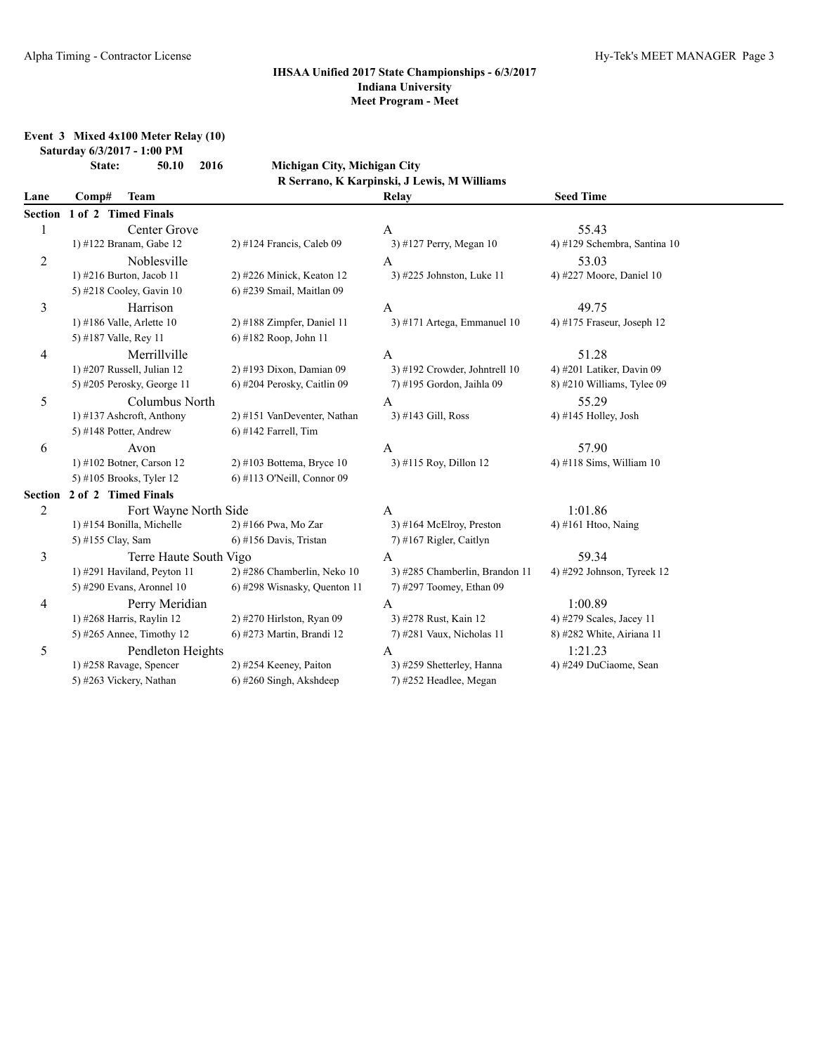### **Event 3 Mixed 4x100 Meter Relay (10) Saturday 6/3/2017 - 1:00 PM**

# **State: 50.10 2016 Michigan City, Michigan City R Serrano, K Karpinski, J Lewis, M Williams**

| Lane    | Comp#                 | <b>Team</b>                 |                              | Relay                          | <b>Seed Time</b>             |  |
|---------|-----------------------|-----------------------------|------------------------------|--------------------------------|------------------------------|--|
| Section | 1 of 2 Timed Finals   |                             |                              |                                |                              |  |
|         |                       | Center Grove                |                              | A                              | 55.43                        |  |
|         |                       | 1) #122 Branam, Gabe 12     | $2)$ #124 Francis, Caleb 09  | 3) #127 Perry, Megan 10        | 4) #129 Schembra, Santina 10 |  |
| 2       |                       | Noblesville                 |                              | A                              | 53.03                        |  |
|         |                       | 1) #216 Burton, Jacob 11    | $2)$ #226 Minick, Keaton 12  | 3) #225 Johnston, Luke 11      | 4) #227 Moore, Daniel 10     |  |
|         |                       | 5) #218 Cooley, Gavin 10    | 6) #239 Smail, Maitlan 09    |                                |                              |  |
| 3       |                       | Harrison                    |                              | A                              | 49.75                        |  |
|         |                       | 1) #186 Valle, Arlette 10   | $2)$ #188 Zimpfer, Daniel 11 | 3) #171 Artega, Emmanuel $10$  | 4) #175 Fraseur, Joseph $12$ |  |
|         | 5) #187 Valle, Rey 11 |                             | 6) #182 Roop, John 11        |                                |                              |  |
| 4       |                       | Merrillville                |                              | A                              | 51.28                        |  |
|         |                       | 1) #207 Russell, Julian 12  | 2) #193 Dixon, Damian 09     | 3) #192 Crowder, Johntrell 10  | 4) #201 Latiker, Davin 09    |  |
|         |                       | 5) #205 Perosky, George 11  | 6) #204 Perosky, Caitlin 09  | 7) #195 Gordon, Jaihla 09      | 8) #210 Williams, Tylee 09   |  |
| 5       |                       | Columbus North              |                              | A                              | 55.29                        |  |
|         |                       | 1) #137 Ashcroft, Anthony   | 2) #151 VanDeventer, Nathan  | 3) #143 Gill, Ross             | 4) #145 Holley, Josh         |  |
|         |                       | 5) #148 Potter, Andrew      | $6)$ #142 Farrell, Tim       |                                |                              |  |
| 6       |                       | Avon                        |                              | A                              | 57.90                        |  |
|         |                       | 1) #102 Botner, Carson 12   | $2)$ #103 Bottema, Bryce 10  | 3) #115 Roy, Dillon 12         | 4) #118 Sims, William $10$   |  |
|         |                       | 5) #105 Brooks, Tyler 12    | 6) #113 O'Neill, Connor 09   |                                |                              |  |
| Section | 2 of 2 Timed Finals   |                             |                              |                                |                              |  |
| 2       | Fort Wayne North Side |                             |                              | A                              | 1:01.86                      |  |
|         |                       | 1) #154 Bonilla, Michelle   | 2) #166 Pwa, Mo Zar          | $3)$ #164 McElroy, Preston     | 4) #161 Htoo, Naing          |  |
|         | 5) #155 Clay, Sam     |                             | $6$ ) #156 Davis, Tristan    | 7) #167 Rigler, Caitlyn        |                              |  |
| 3       |                       | Terre Haute South Vigo      |                              | A                              | 59.34                        |  |
|         |                       | 1) #291 Haviland, Peyton 11 | 2) #286 Chamberlin, Neko 10  | 3) #285 Chamberlin, Brandon 11 | 4) #292 Johnson, Tyreek $12$ |  |
|         |                       | 5) #290 Evans, Aronnel 10   | 6) #298 Wisnasky, Quenton 11 | 7) #297 Toomey, Ethan 09       |                              |  |
| 4       |                       | Perry Meridian              |                              | A                              | 1:00.89                      |  |
|         |                       | 1) #268 Harris, Raylin 12   | 2) #270 Hirlston, Ryan 09    | 3) #278 Rust, Kain 12          | 4) #279 Scales, Jacey 11     |  |
|         |                       | 5) #265 Annee, Timothy 12   | 6) #273 Martin, Brandi 12    | 7) #281 Vaux, Nicholas 11      | 8) #282 White, Airiana 11    |  |
| 5       |                       | Pendleton Heights           |                              | A                              | 1:21.23                      |  |
|         |                       | 1) #258 Ravage, Spencer     | 2) #254 Keeney, Paiton       | 3) #259 Shetterley, Hanna      | 4) #249 DuCiaome, Sean       |  |
|         |                       | 5) #263 Vickery, Nathan     | $6$ ) #260 Singh, Akshdeep   | 7) #252 Headlee, Megan         |                              |  |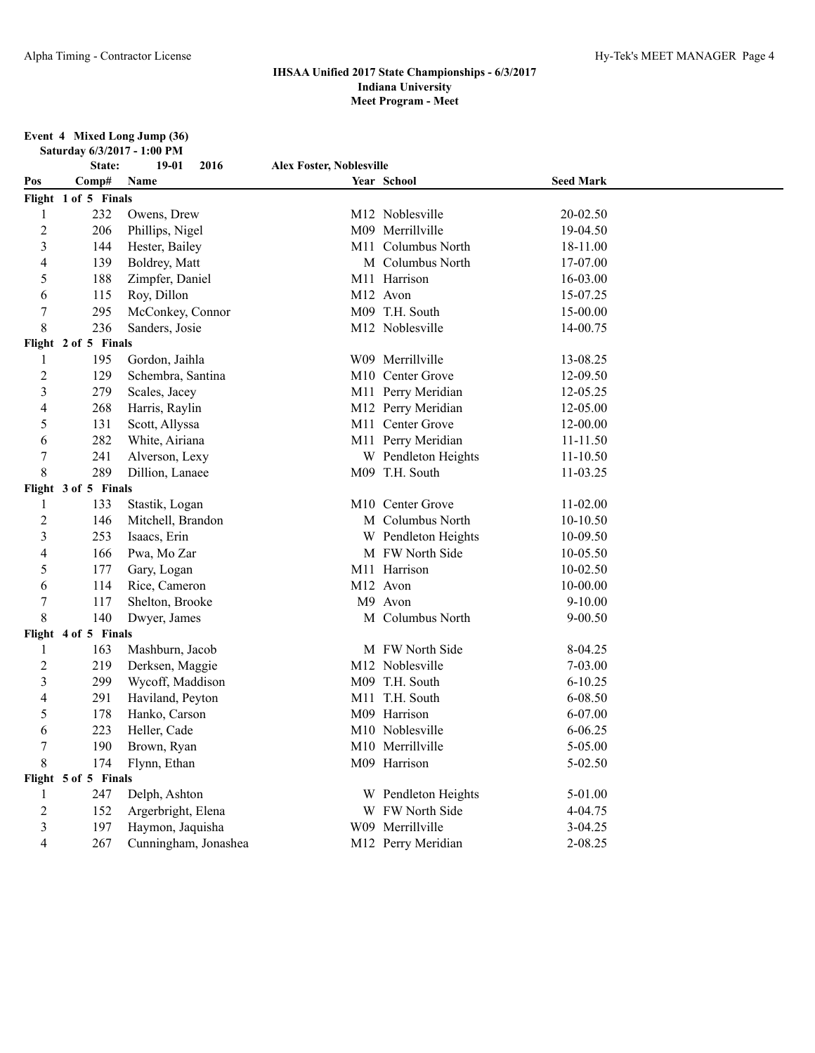### **Event 4 Mixed Long Jump (36)**

| Saturday 6/3/2017 - 1:00 PM |                      |                      |                                 |                     |                  |  |  |  |
|-----------------------------|----------------------|----------------------|---------------------------------|---------------------|------------------|--|--|--|
|                             | State:               | 19-01<br>2016        | <b>Alex Foster, Noblesville</b> |                     |                  |  |  |  |
| Pos                         | Comp#                | Name                 |                                 | Year School         | <b>Seed Mark</b> |  |  |  |
|                             | Flight 1 of 5 Finals |                      |                                 |                     |                  |  |  |  |
| 1                           | 232                  | Owens, Drew          |                                 | M12 Noblesville     | 20-02.50         |  |  |  |
| $\overline{2}$              | 206                  | Phillips, Nigel      |                                 | M09 Merrillville    | 19-04.50         |  |  |  |
| 3                           | 144                  | Hester, Bailey       |                                 | M11 Columbus North  | 18-11.00         |  |  |  |
| 4                           | 139                  | Boldrey, Matt        |                                 | M Columbus North    | 17-07.00         |  |  |  |
| 5                           | 188                  | Zimpfer, Daniel      |                                 | M11 Harrison        | 16-03.00         |  |  |  |
| 6                           | 115                  | Roy, Dillon          |                                 | M12 Avon            | 15-07.25         |  |  |  |
| 7                           | 295                  | McConkey, Connor     |                                 | M09 T.H. South      | 15-00.00         |  |  |  |
| 8                           | 236                  | Sanders, Josie       |                                 | M12 Noblesville     | 14-00.75         |  |  |  |
|                             | Flight 2 of 5 Finals |                      |                                 |                     |                  |  |  |  |
| 1                           | 195                  | Gordon, Jaihla       |                                 | W09 Merrillville    | 13-08.25         |  |  |  |
| $\overline{c}$              | 129                  | Schembra, Santina    |                                 | M10 Center Grove    | 12-09.50         |  |  |  |
| $\mathfrak{Z}$              | 279                  | Scales, Jacey        |                                 | M11 Perry Meridian  | 12-05.25         |  |  |  |
| 4                           | 268                  | Harris, Raylin       |                                 | M12 Perry Meridian  | 12-05.00         |  |  |  |
| 5                           | 131                  | Scott, Allyssa       |                                 | M11 Center Grove    | 12-00.00         |  |  |  |
| 6                           | 282                  | White, Airiana       |                                 | M11 Perry Meridian  | 11-11.50         |  |  |  |
| 7                           | 241                  | Alverson, Lexy       |                                 | W Pendleton Heights | $11 - 10.50$     |  |  |  |
| 8                           | 289                  | Dillion, Lanaee      |                                 | M09 T.H. South      | 11-03.25         |  |  |  |
|                             | Flight 3 of 5 Finals |                      |                                 |                     |                  |  |  |  |
| 1                           | 133                  | Stastik, Logan       |                                 | M10 Center Grove    | $11-02.00$       |  |  |  |
| 2                           | 146                  | Mitchell, Brandon    |                                 | M Columbus North    | 10-10.50         |  |  |  |
| 3                           | 253                  | Isaacs, Erin         |                                 | W Pendleton Heights | 10-09.50         |  |  |  |
| 4                           | 166                  | Pwa, Mo Zar          |                                 | M FW North Side     | 10-05.50         |  |  |  |
| 5                           | 177                  | Gary, Logan          |                                 | M11 Harrison        | $10-02.50$       |  |  |  |
| 6                           | 114                  | Rice, Cameron        |                                 | M12 Avon            | $10 - 00.00$     |  |  |  |
| 7                           | 117                  | Shelton, Brooke      |                                 | M9 Avon             | $9 - 10.00$      |  |  |  |
| 8                           | 140                  | Dwyer, James         |                                 | M Columbus North    | $9 - 00.50$      |  |  |  |
|                             | Flight 4 of 5 Finals |                      |                                 |                     |                  |  |  |  |
| 1                           | 163                  | Mashburn, Jacob      |                                 | M FW North Side     | 8-04.25          |  |  |  |
| 2                           | 219                  | Derksen, Maggie      |                                 | M12 Noblesville     | 7-03.00          |  |  |  |
| 3                           | 299                  | Wycoff, Maddison     |                                 | M09 T.H. South      | $6 - 10.25$      |  |  |  |
| 4                           | 291                  | Haviland, Peyton     |                                 | M11 T.H. South      | 6-08.50          |  |  |  |
| 5                           | 178                  | Hanko, Carson        |                                 | M09 Harrison        | 6-07.00          |  |  |  |
| 6                           | 223                  | Heller, Cade         |                                 | M10 Noblesville     | $6 - 06.25$      |  |  |  |
|                             | 190                  | Brown, Ryan          |                                 | M10 Merrillville    | 5-05.00          |  |  |  |
| 8                           | 174                  | Flynn, Ethan         |                                 | M09 Harrison        | 5-02.50          |  |  |  |
|                             | Flight 5 of 5 Finals |                      |                                 |                     |                  |  |  |  |
| 1                           | 247                  | Delph, Ashton        |                                 | W Pendleton Heights | 5-01.00          |  |  |  |
| $\overline{c}$              | 152                  | Argerbright, Elena   |                                 | W FW North Side     | 4-04.75          |  |  |  |
| $\mathfrak{Z}$              | 197                  | Haymon, Jaquisha     |                                 | W09 Merrillville    | $3 - 04.25$      |  |  |  |
| 4                           | 267                  | Cunningham, Jonashea |                                 | M12 Perry Meridian  | 2-08.25          |  |  |  |